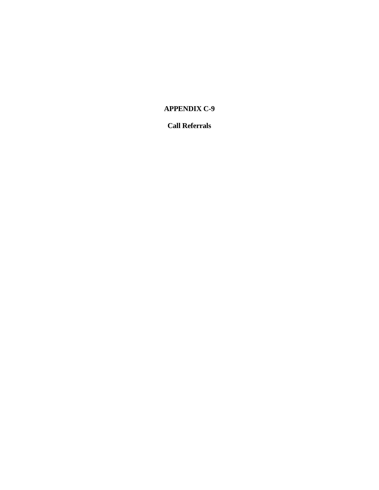## **APPENDIX C-9**

## **Call Referrals**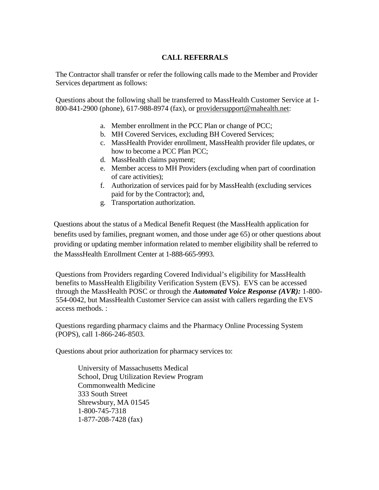## **CALL REFERRALS**

The Contractor shall transfer or refer the following calls made to the Member and Provider Services department as follows:

Questions about the following shall be transferred to MassHealth Customer Service at 1- 800-841-2900 (phone), 617-988-8974 (fax), or providersupport@mahealth.net:

- a. Member enrollment in the PCC Plan or change of PCC;
- b. MH Covered Services, excluding BH Covered Services;
- c. MassHealth Provider enrollment, MassHealth provider file updates, or how to become a PCC Plan PCC;
- d. MassHealth claims payment;
- e. Member access to MH Providers (excluding when part of coordination of care activities);
- f. Authorization of services paid for by MassHealth (excluding services paid for by the Contractor); and,
- g. Transportation authorization.

Questions about the status of a Medical Benefit Request (the MassHealth application for benefits used by families, pregnant women, and those under age 65) or other questions about providing or updating member information related to member eligibility shall be referred to the MasssHealth Enrollment Center at 1-888-665-9993.

Questions from Providers regarding Covered Individual's eligibility for MassHealth benefits to MassHealth Eligibility Verification System (EVS). EVS can be accessed through the MassHealth POSC or through the *Automated Voice Response (AVR):* 1-800- 554-0042, but MassHealth Customer Service can assist with callers regarding the EVS access methods. :

Questions regarding pharmacy claims and the Pharmacy Online Processing System (POPS), call 1-866-246-8503.

Questions about prior authorization for pharmacy services to:

University of Massachusetts Medical School, Drug Utilization Review Program Commonwealth Medicine 333 South Street Shrewsbury, MA 01545 1-800-745-7318 1-877-208-7428 (fax)